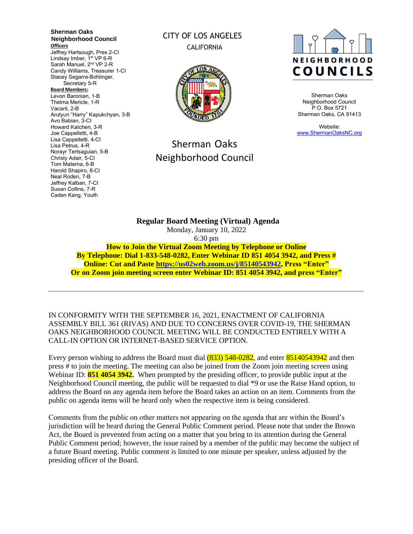**Sherman Oaks Neighborhood Council Officers** Jeffrey Hartsough, Pres 2-CI Lindsay Imber, 1<sup>st</sup> VP 6-R Sarah Manuel, 2<sup>nd</sup> VP 2-R Candy Williams, Treasurer 1-CI Stacey Segarra-Bohlinger, Secretary 5-R **Board Members:** Levon Baronian, 1-B Thelma Mericle, 1-R Vacant, 2-B Arutyun "Harry" Kapukchyan, 3-B Avo Babian, 3-CI Howard Katchen, 3-R Joe Cappelletti, 4-B Lisa Cappelletti, 4-CI Lisa Petrus, 4-R Norayr Tertsaguian, 5-B Christy Adair, 5-CI Tom Materna, 6-B Harold Shapiro, 6-CI Neal Roden, 7-B Jeffrey Kalban, 7-CI Susan Collins, 7-R Caden Kang, Youth

## CITY OF LOS ANGELES CALIFORNIA



## Sherman Oaks Neighborhood Council



Sherman Oaks Neighborhood Council P.O. Box 5721 Sherman Oaks, CA 91413

Website: [www.ShermanOaksNC.org](http://www.shermanoaksnc.org/)

**Regular Board Meeting (Virtual) Agenda**  Monday, January 10, 2022 6:30 pm **How to Join the Virtual Zoom Meeting by Telephone or Online By Telephone: Dial 1-833-548-0282, Enter Webinar ID 851 4054 3942, and Press # Online: Cut and Paste [https://us02web.zoom.us/j/85140543942,](https://us02web.zoom.us/j/85140543942) Press "Enter" Or on Zoom join meeting screen enter Webinar ID: 851 4054 3942, and press "Enter"**

IN CONFORMITY WITH THE SEPTEMBER 16, 2021, ENACTMENT OF CALIFORNIA ASSEMBLY BILL 361 (RIVAS) AND DUE TO CONCERNS OVER COVID-19, THE SHERMAN OAKS NEIGHBORHOOD COUNCIL MEETING WILL BE CONDUCTED ENTIRELY WITH A CALL-IN OPTION OR INTERNET-BASED SERVICE OPTION.

Every person wishing to address the Board must dial (833) 548-0282, and enter 85140543942 and then press # to join the meeting. The meeting can also be joined from the Zoom join meeting screen using Webinar ID: **851 4054 3942.** When prompted by the presiding officer, to provide public input at the Neighborhood Council meeting, the public will be requested to dial \*9 or use the Raise Hand option, to address the Board on any agenda item before the Board takes an action on an item. Comments from the public on agenda items will be heard only when the respective item is being considered.

Comments from the public on other matters not appearing on the agenda that are within the Board's jurisdiction will be heard during the General Public Comment period. Please note that under the Brown Act, the Board is prevented from acting on a matter that you bring to its attention during the General Public Comment period; however, the issue raised by a member of the public may become the subject of a future Board meeting. Public comment is limited to one minute per speaker, unless adjusted by the presiding officer of the Board.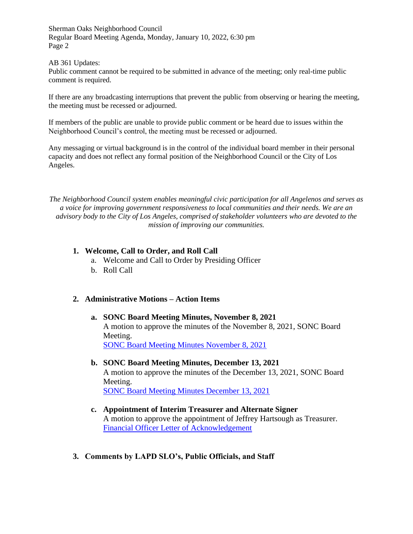AB 361 Updates:

Public comment cannot be required to be submitted in advance of the meeting; only real-time public comment is required.

If there are any broadcasting interruptions that prevent the public from observing or hearing the meeting, the meeting must be recessed or adjourned.

If members of the public are unable to provide public comment or be heard due to issues within the Neighborhood Council's control, the meeting must be recessed or adjourned.

Any messaging or virtual background is in the control of the individual board member in their personal capacity and does not reflect any formal position of the Neighborhood Council or the City of Los Angeles.

*The Neighborhood Council system enables meaningful civic participation for all Angelenos and serves as a voice for improving government responsiveness to local communities and their needs. We are an advisory body to the City of Los Angeles, comprised of stakeholder volunteers who are devoted to the mission of improving our communities.*

## **1. Welcome, Call to Order, and Roll Call**

- a. Welcome and Call to Order by Presiding Officer
- b. Roll Call

## **2. Administrative Motions – Action Items**

## **a. SONC Board Meeting Minutes, November 8, 2021** A motion to approve the minutes of the November 8, 2021, SONC Board Meeting. [SONC Board Meeting Minutes November 8, 2021](https://www.shermanoaksnc.org/ncfiles/viewCommitteeFile/26365)

- **b. SONC Board Meeting Minutes, December 13, 2021** A motion to approve the minutes of the December 13, 2021, SONC Board Meeting. [SONC Board Meeting Minutes December 13, 2021](https://www.shermanoaksnc.org/ncfiles/viewCommitteeFile/26366)
- **c. Appointment of Interim Treasurer and Alternate Signer** A motion to approve the appointment of Jeffrey Hartsough as Treasurer. [Financial Officer Letter of Acknowledgement](https://www.shermanoaksnc.org/ncfiles/viewCommitteeFile/26367)
- **3. Comments by LAPD SLO's, Public Officials, and Staff**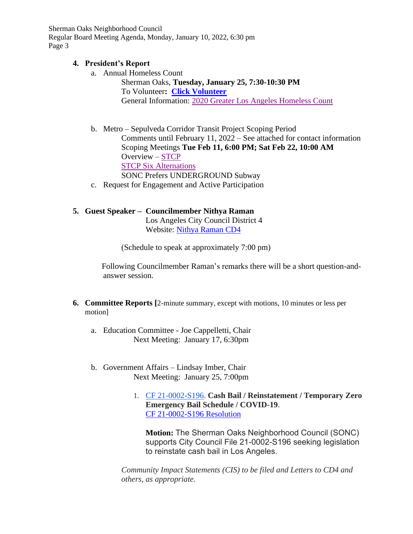## **4. President's Report**

- a. Annual Homeless Count Sherman Oaks, **Tuesday, January 25, 7:30-10:30 PM** To Volunteer**: [Click Volunteer](https://www.theycountwillyou.org/sherman_oaks_count_20220125)** General Information: [2020 Greater Los Angeles Homeless Count](http://www.theycountwillyou.org/?e=f5d81eed5f3020d7a306d5b19694bb16&utm_source=lahsa&utm_medium=email&utm_campaign=vol_info_sess_faq_12_06_21&n=10)
- b. Metro Sepulveda Corridor Transit Project Scoping Period Comments until February 11, 2022 – See attached for contact information Scoping Meetings **Tue Feb 11, 6:00 PM; Sat Feb 22, 10:00 AM** Overview – [STCP](https://www.metro.net/projects/sepulvedacorridor/) [STCP Six Alternations](https://thesource.metro.net/2021/11/30/public-comment-period-begins-today-for-sepulveda-transit-corridor-environmental-study-here-are-the-six-alternatives/) SONC Prefers UNDERGROUND Subway
- c. Request for Engagement and Active Participation

## **5. Guest Speaker – Councilmember Nithya Raman**

Los Angeles City Council District 4 Website: [Nithya Raman CD4](https://councildistrict4.lacity.org/)

(Schedule to speak at approximately 7:00 pm)

Following Councilmember Raman's remarks there will be a short question-andanswer session.

- **6. Committee Reports [**2-minute summary, except with motions, 10 minutes or less per motion]
	- a. Education Committee Joe Cappelletti, Chair Next Meeting: January 17, 6:30pm
	- b. Government Affairs Lindsay Imber, Chair Next Meeting: January 25, 7:00pm
		- 1. [CF 21-0002-S196.](https://cityclerk.lacity.org/lacityclerkconnect/index.cfm?fa=ccfi.viewrecord&cfnumber=21-0002-S196) **Cash Bail / Reinstatement / Temporary Zero Emergency Bail Schedule / COVID-19**. [CF 21-0002-S196 Resolution](https://clkrep.lacity.org/onlinedocs/2021/21-0002-S196_reso_12-08-21.pdf)

**Motion:** The Sherman Oaks Neighborhood Council (SONC) supports City Council File 21-0002-S196 seeking legislation to reinstate cash bail in Los Angeles.

*Community Impact Statements (CIS) to be filed and Letters to CD4 and others, as appropriate.*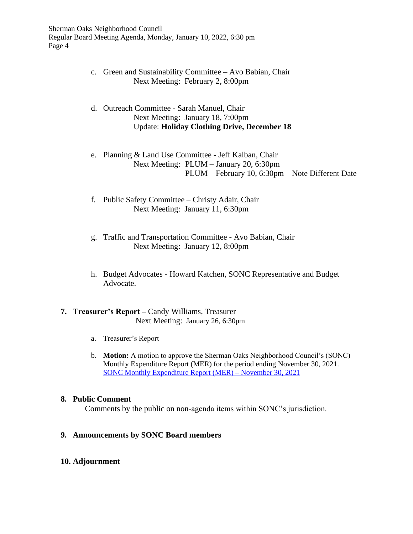- c. Green and Sustainability Committee Avo Babian, Chair Next Meeting: February 2, 8:00pm
- d. Outreach Committee Sarah Manuel, Chair Next Meeting: January 18, 7:00pm Update: **Holiday Clothing Drive, December 18**
- e. Planning & Land Use Committee Jeff Kalban, Chair Next Meeting: PLUM – January 20, 6:30pm PLUM – February 10, 6:30pm – Note Different Date
- f. Public Safety Committee Christy Adair, Chair Next Meeting: January 11, 6:30pm
- g. Traffic and Transportation Committee Avo Babian, Chair Next Meeting: January 12, 8:00pm
- h. Budget Advocates Howard Katchen, SONC Representative and Budget Advocate.

## **7. Treasurer's Report –** Candy Williams, Treasurer Next Meeting: January 26, 6:30pm

- a. Treasurer's Report
- b. **Motion:** A motion to approve the Sherman Oaks Neighborhood Council's (SONC) Monthly Expenditure Report (MER) for the period ending November 30, 2021. [SONC Monthly Expenditure Report](https://clkrep.lacity.org/ncfunding/mer/F26BA26F-CE8C-4FDF-A78F-6306EE20F6EBL.pdf) (MER) – November 30, 2021

## **8. Public Comment**

Comments by the public on non-agenda items within SONC's jurisdiction.

## **9. Announcements by SONC Board members**

## **10. Adjournment**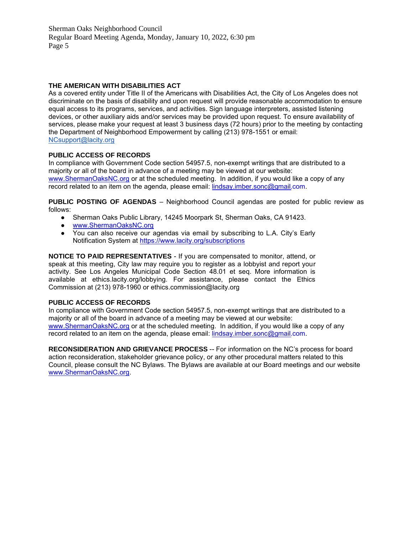#### **THE AMERICAN WITH DISABILITIES ACT**

As a covered entity under Title II of the Americans with Disabilities Act, the City of Los Angeles does not discriminate on the basis of disability and upon request will provide reasonable accommodation to ensure equal access to its programs, services, and activities. Sign language interpreters, assisted listening devices, or other auxiliary aids and/or services may be provided upon request. To ensure availability of services, please make your request at least 3 business days (72 hours) prior to the meeting by contacting the Department of Neighborhood Empowerment by calling (213) 978-1551 or email: [NCsupport@lacity.org](mailto:NCsupport@lacity.org)

#### **PUBLIC ACCESS OF RECORDS**

In compliance with Government Code section 54957.5, non-exempt writings that are distributed to a majority or all of the board in advance of a meeting may be viewed at our website: [www.ShermanOaksNC.org](http://www.shermanoaksnc.org/) or at the scheduled meeting. In addition, if you would like a copy of any record related to an item on the agenda, please email: [lindsay.imber.sonc@gmail.c](mailto:gil.imber.sonc@gmail.com)om.

**PUBLIC POSTING OF AGENDAS** – Neighborhood Council agendas are posted for public review as follows:

- Sherman Oaks Public Library, 14245 Moorpark St, Sherman Oaks, CA 91423.
- [www.ShermanOaksNC.org](http://www.shermanoaksnc.org/)
- You can also receive our agendas via email by subscribing to L.A. City's Early Notification System at<https://www.lacity.org/subscriptions>

**NOTICE TO PAID REPRESENTATIVES** - If you are compensated to monitor, attend, or speak at this meeting, City law may require you to register as a lobbyist and report your activity. See Los Angeles Municipal Code Section 48.01 et seq. More information is available at ethics.lacity.org/lobbying. For assistance, please contact the Ethics Commission at (213) 978-1960 or ethics.commission@lacity.org

#### **PUBLIC ACCESS OF RECORDS**

In compliance with Government Code section 54957.5, non-exempt writings that are distributed to a majority or all of the board in advance of a meeting may be viewed at our website: [www.ShermanOaksNC.org](http://www.shermanoaksnc.org/) or at the scheduled meeting. In addition, if you would like a copy of any record related to an item on the agenda, please email: [lindsay.imber.sonc@gmail.c](mailto:gil.imber.sonc@gmail.com)om.

**RECONSIDERATION AND GRIEVANCE PROCESS** -- For information on the NC's process for board action reconsideration, stakeholder grievance policy, or any other procedural matters related to this Council, please consult the NC Bylaws. The Bylaws are available at our Board meetings and our website [www.ShermanOaksNC.org.](http://www.shermanoaksnc.org/)